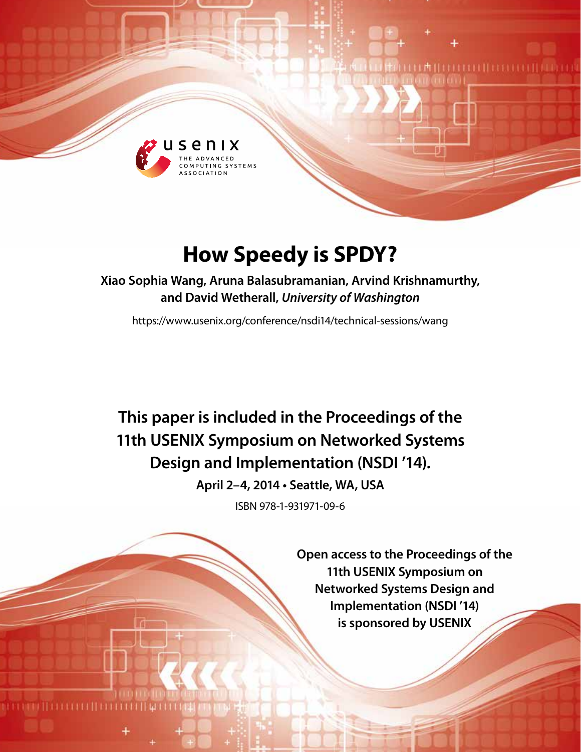

# **How Speedy is SPDY?**

**Xiao Sophia Wang, Aruna Balasubramanian, Arvind Krishnamurthy, and David Wetherall,** *University of Washington*

https://www.usenix.org/conference/nsdi14/technical-sessions/wang

**This paper is included in the Proceedings of the 11th USENIX Symposium on Networked Systems Design and Implementation (NSDI '14).**

**April 2–4, 2014 • Seattle, WA, USA**

ISBN 978-1-931971-09-6

**Open access to the Proceedings of the 11th USENIX Symposium on Networked Systems Design and Implementation (NSDI '14) is sponsored by USENIX**

I M II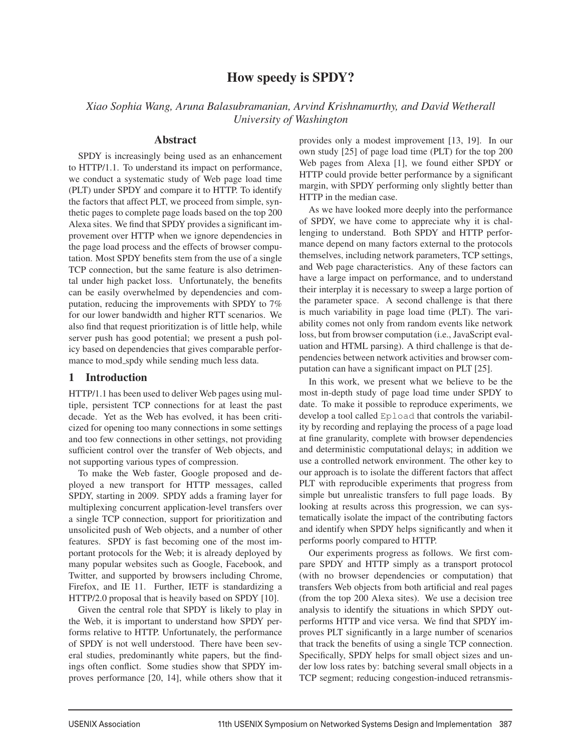## How speedy is SPDY?

*Xiao Sophia Wang, Aruna Balasubramanian, Arvind Krishnamurthy, and David Wetherall University of Washington*

## Abstract

SPDY is increasingly being used as an enhancement to HTTP/1.1. To understand its impact on performance, we conduct a systematic study of Web page load time (PLT) under SPDY and compare it to HTTP. To identify the factors that affect PLT, we proceed from simple, synthetic pages to complete page loads based on the top 200 Alexa sites. We find that SPDY provides a significant improvement over HTTP when we ignore dependencies in the page load process and the effects of browser computation. Most SPDY benefits stem from the use of a single TCP connection, but the same feature is also detrimental under high packet loss. Unfortunately, the benefits can be easily overwhelmed by dependencies and computation, reducing the improvements with SPDY to 7% for our lower bandwidth and higher RTT scenarios. We also find that request prioritization is of little help, while server push has good potential; we present a push policy based on dependencies that gives comparable performance to mod\_spdy while sending much less data.

## 1 Introduction

HTTP/1.1 has been used to deliver Web pages using multiple, persistent TCP connections for at least the past decade. Yet as the Web has evolved, it has been criticized for opening too many connections in some settings and too few connections in other settings, not providing sufficient control over the transfer of Web objects, and not supporting various types of compression.

To make the Web faster, Google proposed and deployed a new transport for HTTP messages, called SPDY, starting in 2009. SPDY adds a framing layer for multiplexing concurrent application-level transfers over a single TCP connection, support for prioritization and unsolicited push of Web objects, and a number of other features. SPDY is fast becoming one of the most important protocols for the Web; it is already deployed by many popular websites such as Google, Facebook, and Twitter, and supported by browsers including Chrome, Firefox, and IE 11. Further, IETF is standardizing a HTTP/2.0 proposal that is heavily based on SPDY [10].

Given the central role that SPDY is likely to play in the Web, it is important to understand how SPDY performs relative to HTTP. Unfortunately, the performance of SPDY is not well understood. There have been several studies, predominantly white papers, but the findings often conflict. Some studies show that SPDY improves performance [20, 14], while others show that it provides only a modest improvement [13, 19]. In our own study [25] of page load time (PLT) for the top 200 Web pages from Alexa [1], we found either SPDY or HTTP could provide better performance by a significant margin, with SPDY performing only slightly better than HTTP in the median case.

As we have looked more deeply into the performance of SPDY, we have come to appreciate why it is challenging to understand. Both SPDY and HTTP performance depend on many factors external to the protocols themselves, including network parameters, TCP settings, and Web page characteristics. Any of these factors can have a large impact on performance, and to understand their interplay it is necessary to sweep a large portion of the parameter space. A second challenge is that there is much variability in page load time (PLT). The variability comes not only from random events like network loss, but from browser computation (i.e., JavaScript evaluation and HTML parsing). A third challenge is that dependencies between network activities and browser computation can have a significant impact on PLT [25].

In this work, we present what we believe to be the most in-depth study of page load time under SPDY to date. To make it possible to reproduce experiments, we develop a tool called Epload that controls the variability by recording and replaying the process of a page load at fine granularity, complete with browser dependencies and deterministic computational delays; in addition we use a controlled network environment. The other key to our approach is to isolate the different factors that affect PLT with reproducible experiments that progress from simple but unrealistic transfers to full page loads. By looking at results across this progression, we can systematically isolate the impact of the contributing factors and identify when SPDY helps significantly and when it performs poorly compared to HTTP.

Our experiments progress as follows. We first compare SPDY and HTTP simply as a transport protocol (with no browser dependencies or computation) that transfers Web objects from both artificial and real pages (from the top 200 Alexa sites). We use a decision tree analysis to identify the situations in which SPDY outperforms HTTP and vice versa. We find that SPDY improves PLT significantly in a large number of scenarios that track the benefits of using a single TCP connection. Specifically, SPDY helps for small object sizes and under low loss rates by: batching several small objects in a TCP segment; reducing congestion-induced retransmis-

 $\overline{a}$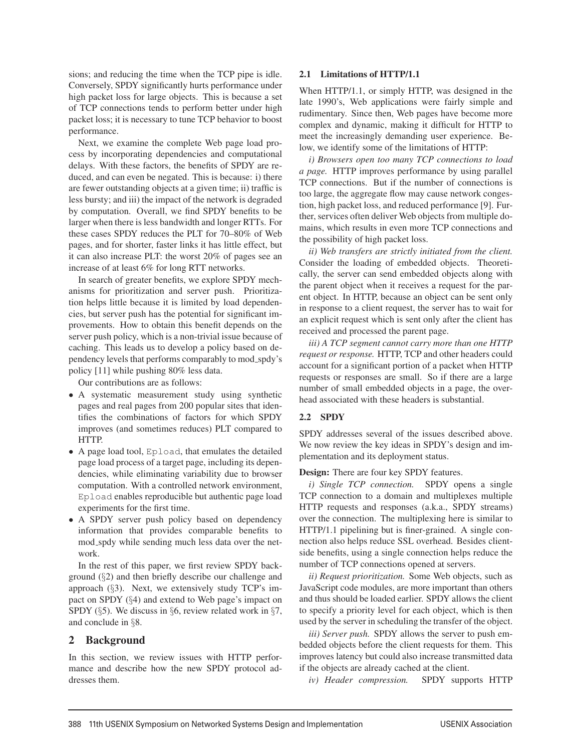sions; and reducing the time when the TCP pipe is idle. Conversely, SPDY significantly hurts performance under high packet loss for large objects. This is because a set of TCP connections tends to perform better under high packet loss; it is necessary to tune TCP behavior to boost performance.

Next, we examine the complete Web page load process by incorporating dependencies and computational delays. With these factors, the benefits of SPDY are reduced, and can even be negated. This is because: i) there are fewer outstanding objects at a given time; ii) traffic is less bursty; and iii) the impact of the network is degraded by computation. Overall, we find SPDY benefits to be larger when there is less bandwidth and longer RTTs. For these cases SPDY reduces the PLT for 70–80% of Web pages, and for shorter, faster links it has little effect, but it can also increase PLT: the worst 20% of pages see an increase of at least 6% for long RTT networks.

In search of greater benefits, we explore SPDY mechanisms for prioritization and server push. Prioritization helps little because it is limited by load dependencies, but server push has the potential for significant improvements. How to obtain this benefit depends on the server push policy, which is a non-trivial issue because of caching. This leads us to develop a policy based on dependency levels that performs comparably to mod spdy's policy [11] while pushing 80% less data.

Our contributions are as follows:

- A systematic measurement study using synthetic pages and real pages from 200 popular sites that identifies the combinations of factors for which SPDY improves (and sometimes reduces) PLT compared to HTTP.
- A page load tool, Epload, that emulates the detailed page load process of a target page, including its dependencies, while eliminating variability due to browser computation. With a controlled network environment, Epload enables reproducible but authentic page load experiments for the first time.
- A SPDY server push policy based on dependency information that provides comparable benefits to mod spdy while sending much less data over the network.

In the rest of this paper, we first review SPDY background (§2) and then briefly describe our challenge and approach  $(\S 3)$ . Next, we extensively study TCP's impact on SPDY (§4) and extend to Web page's impact on SPDY (§5). We discuss in §6, review related work in §7, and conclude in §8.

## 2 Background

In this section, we review issues with HTTP performance and describe how the new SPDY protocol addresses them.

#### 2.1 Limitations of HTTP/1.1

When HTTP/1.1, or simply HTTP, was designed in the late 1990's, Web applications were fairly simple and rudimentary. Since then, Web pages have become more complex and dynamic, making it difficult for HTTP to meet the increasingly demanding user experience. Below, we identify some of the limitations of HTTP:

*i) Browsers open too many TCP connections to load a page.* HTTP improves performance by using parallel TCP connections. But if the number of connections is too large, the aggregate flow may cause network congestion, high packet loss, and reduced performance [9]. Further, services often deliver Web objects from multiple domains, which results in even more TCP connections and the possibility of high packet loss.

*ii) Web transfers are strictly initiated from the client.* Consider the loading of embedded objects. Theoretically, the server can send embedded objects along with the parent object when it receives a request for the parent object. In HTTP, because an object can be sent only in response to a client request, the server has to wait for an explicit request which is sent only after the client has received and processed the parent page.

*iii) A TCP segment cannot carry more than one HTTP request or response.* HTTP, TCP and other headers could account for a significant portion of a packet when HTTP requests or responses are small. So if there are a large number of small embedded objects in a page, the overhead associated with these headers is substantial.

#### 2.2 SPDY

SPDY addresses several of the issues described above. We now review the key ideas in SPDY's design and implementation and its deployment status.

Design: There are four key SPDY features.

*i) Single TCP connection.* SPDY opens a single TCP connection to a domain and multiplexes multiple HTTP requests and responses (a.k.a., SPDY streams) over the connection. The multiplexing here is similar to HTTP/1.1 pipelining but is finer-grained. A single connection also helps reduce SSL overhead. Besides clientside benefits, using a single connection helps reduce the number of TCP connections opened at servers.

*ii) Request prioritization.* Some Web objects, such as JavaScript code modules, are more important than others and thus should be loaded earlier. SPDY allows the client to specify a priority level for each object, which is then used by the server in scheduling the transfer of the object.

*iii) Server push.* SPDY allows the server to push embedded objects before the client requests for them. This improves latency but could also increase transmitted data if the objects are already cached at the client.

*iv) Header compression.* SPDY supports HTTP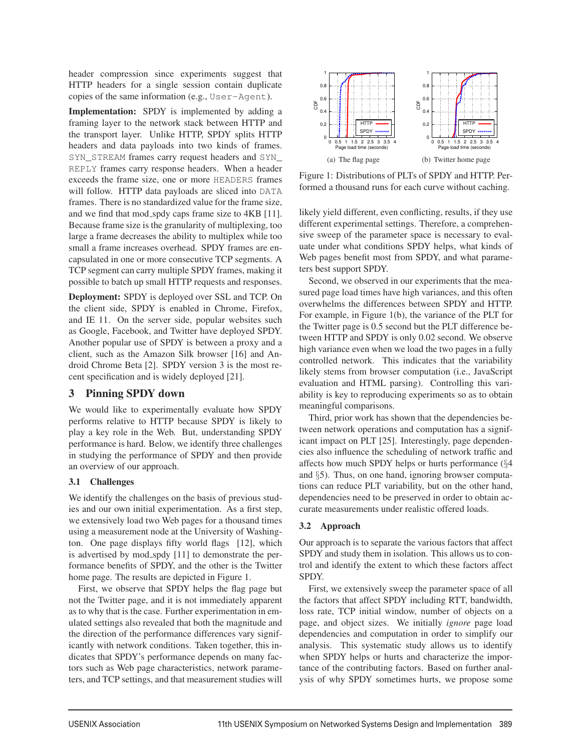header compression since experiments suggest that HTTP headers for a single session contain duplicate copies of the same information (e.g., User-Agent).

Implementation: SPDY is implemented by adding a framing layer to the network stack between HTTP and the transport layer. Unlike HTTP, SPDY splits HTTP headers and data payloads into two kinds of frames. SYN\_STREAM frames carry request headers and SYN\_ REPLY frames carry response headers. When a header exceeds the frame size, one or more HEADERS frames will follow. HTTP data payloads are sliced into DATA frames. There is no standardized value for the frame size, and we find that mod\_spdy caps frame size to 4KB [11]. Because frame size is the granularity of multiplexing, too large a frame decreases the ability to multiplex while too small a frame increases overhead. SPDY frames are encapsulated in one or more consecutive TCP segments. A TCP segment can carry multiple SPDY frames, making it possible to batch up small HTTP requests and responses.

Deployment: SPDY is deployed over SSL and TCP. On the client side, SPDY is enabled in Chrome, Firefox, and IE 11. On the server side, popular websites such as Google, Facebook, and Twitter have deployed SPDY. Another popular use of SPDY is between a proxy and a client, such as the Amazon Silk browser [16] and Android Chrome Beta [2]. SPDY version 3 is the most recent specification and is widely deployed [21].

## 3 Pinning SPDY down

We would like to experimentally evaluate how SPDY performs relative to HTTP because SPDY is likely to play a key role in the Web. But, understanding SPDY performance is hard. Below, we identify three challenges in studying the performance of SPDY and then provide an overview of our approach.

## 3.1 Challenges

We identify the challenges on the basis of previous studies and our own initial experimentation. As a first step, we extensively load two Web pages for a thousand times using a measurement node at the University of Washington. One page displays fifty world flags [12], which is advertised by mod spdy [11] to demonstrate the performance benefits of SPDY, and the other is the Twitter home page. The results are depicted in Figure 1.

First, we observe that SPDY helps the flag page but not the Twitter page, and it is not immediately apparent as to why that is the case. Further experimentation in emulated settings also revealed that both the magnitude and the direction of the performance differences vary significantly with network conditions. Taken together, this indicates that SPDY's performance depends on many factors such as Web page characteristics, network parameters, and TCP settings, and that measurement studies will



Figure 1: Distributions of PLTs of SPDY and HTTP. Performed a thousand runs for each curve without caching.

likely yield different, even conflicting, results, if they use different experimental settings. Therefore, a comprehensive sweep of the parameter space is necessary to evaluate under what conditions SPDY helps, what kinds of Web pages benefit most from SPDY, and what parameters best support SPDY.

Second, we observed in our experiments that the measured page load times have high variances, and this often overwhelms the differences between SPDY and HTTP. For example, in Figure 1(b), the variance of the PLT for the Twitter page is 0.5 second but the PLT difference between HTTP and SPDY is only 0.02 second. We observe high variance even when we load the two pages in a fully controlled network. This indicates that the variability likely stems from browser computation (i.e., JavaScript evaluation and HTML parsing). Controlling this variability is key to reproducing experiments so as to obtain meaningful comparisons.

Third, prior work has shown that the dependencies between network operations and computation has a significant impact on PLT [25]. Interestingly, page dependencies also influence the scheduling of network traffic and affects how much SPDY helps or hurts performance (§4 and §5). Thus, on one hand, ignoring browser computations can reduce PLT variability, but on the other hand, dependencies need to be preserved in order to obtain accurate measurements under realistic offered loads.

## 3.2 Approach

3

Our approach is to separate the various factors that affect SPDY and study them in isolation. This allows us to control and identify the extent to which these factors affect SPDY.

First, we extensively sweep the parameter space of all the factors that affect SPDY including RTT, bandwidth, loss rate, TCP initial window, number of objects on a page, and object sizes. We initially *ignore* page load dependencies and computation in order to simplify our analysis. This systematic study allows us to identify when SPDY helps or hurts and characterize the importance of the contributing factors. Based on further analysis of why SPDY sometimes hurts, we propose some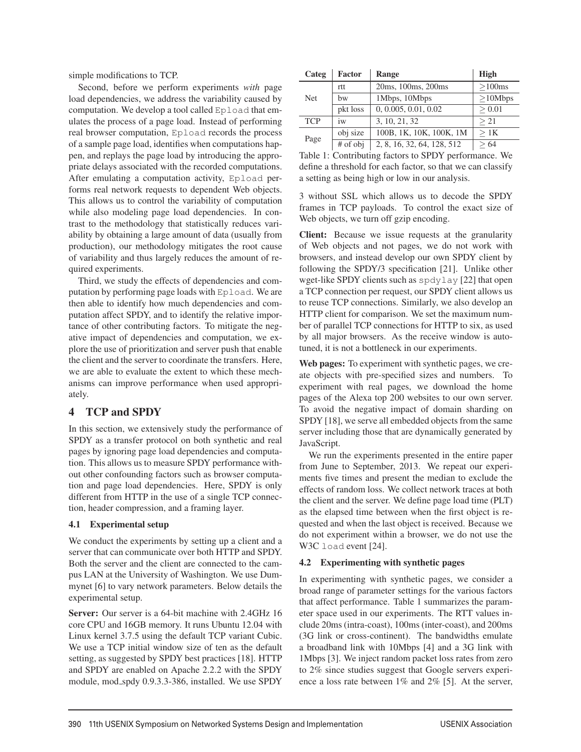simple modifications to TCP.

Second, before we perform experiments *with* page load dependencies, we address the variability caused by computation. We develop a tool called Epload that emulates the process of a page load. Instead of performing real browser computation, Epload records the process of a sample page load, identifies when computations happen, and replays the page load by introducing the appropriate delays associated with the recorded computations. After emulating a computation activity, Epload performs real network requests to dependent Web objects. This allows us to control the variability of computation while also modeling page load dependencies. In contrast to the methodology that statistically reduces variability by obtaining a large amount of data (usually from production), our methodology mitigates the root cause of variability and thus largely reduces the amount of required experiments.

Third, we study the effects of dependencies and computation by performing page loads with Epload. We are then able to identify how much dependencies and computation affect SPDY, and to identify the relative importance of other contributing factors. To mitigate the negative impact of dependencies and computation, we explore the use of prioritization and server push that enable the client and the server to coordinate the transfers. Here, we are able to evaluate the extent to which these mechanisms can improve performance when used appropriately.

### 4 TCP and SPDY

In this section, we extensively study the performance of SPDY as a transfer protocol on both synthetic and real pages by ignoring page load dependencies and computation. This allows us to measure SPDY performance without other confounding factors such as browser computation and page load dependencies. Here, SPDY is only different from HTTP in the use of a single TCP connection, header compression, and a framing layer.

#### 4.1 Experimental setup

We conduct the experiments by setting up a client and a server that can communicate over both HTTP and SPDY. Both the server and the client are connected to the campus LAN at the University of Washington. We use Dummynet [6] to vary network parameters. Below details the experimental setup.

Server: Our server is a 64-bit machine with 2.4GHz 16 core CPU and 16GB memory. It runs Ubuntu 12.04 with Linux kernel 3.7.5 using the default TCP variant Cubic. We use a TCP initial window size of ten as the default setting, as suggested by SPDY best practices [18]. HTTP and SPDY are enabled on Apache 2.2.2 with the SPDY module, mod spdy 0.9.3.3-386, installed. We use SPDY

| Categ      | <b>Factor</b> | Range                      | <b>High</b> |
|------------|---------------|----------------------------|-------------|
| <b>Net</b> | rtt           | 20ms, 100ms, 200ms         | >100ms      |
|            | bw            | 1Mbps, 10Mbps              | >10Mbps     |
|            | pkt loss      | 0, 0.005, 0.01, 0.02       | > 0.01      |
| <b>TCP</b> | 1W            | 3, 10, 21, 32              | >21         |
| Page       | obj size      | 100B, 1K, 10K, 100K, 1M    | >1K         |
|            | # of obj      | 2, 8, 16, 32, 64, 128, 512 | 64          |

Table 1: Contributing factors to SPDY performance. We define a threshold for each factor, so that we can classify a setting as being high or low in our analysis.

3 without SSL which allows us to decode the SPDY frames in TCP payloads. To control the exact size of Web objects, we turn off gzip encoding.

Client: Because we issue requests at the granularity of Web objects and not pages, we do not work with browsers, and instead develop our own SPDY client by following the SPDY/3 specification [21]. Unlike other wget-like SPDY clients such as spdylay [22] that open a TCP connection per request, our SPDY client allows us to reuse TCP connections. Similarly, we also develop an HTTP client for comparison. We set the maximum number of parallel TCP connections for HTTP to six, as used by all major browsers. As the receive window is autotuned, it is not a bottleneck in our experiments.

Web pages: To experiment with synthetic pages, we create objects with pre-specified sizes and numbers. To experiment with real pages, we download the home pages of the Alexa top 200 websites to our own server. To avoid the negative impact of domain sharding on SPDY [18], we serve all embedded objects from the same server including those that are dynamically generated by JavaScript.

We run the experiments presented in the entire paper from June to September, 2013. We repeat our experiments five times and present the median to exclude the effects of random loss. We collect network traces at both the client and the server. We define page load time (PLT) as the elapsed time between when the first object is requested and when the last object is received. Because we do not experiment within a browser, we do not use the W3C load event [24].

#### 4.2 Experimenting with synthetic pages

In experimenting with synthetic pages, we consider a broad range of parameter settings for the various factors that affect performance. Table 1 summarizes the parameter space used in our experiments. The RTT values include 20ms (intra-coast), 100ms (inter-coast), and 200ms (3G link or cross-continent). The bandwidths emulate a broadband link with 10Mbps [4] and a 3G link with 1Mbps [3]. We inject random packet loss rates from zero to 2% since studies suggest that Google servers experience a loss rate between 1% and 2% [5]. At the server,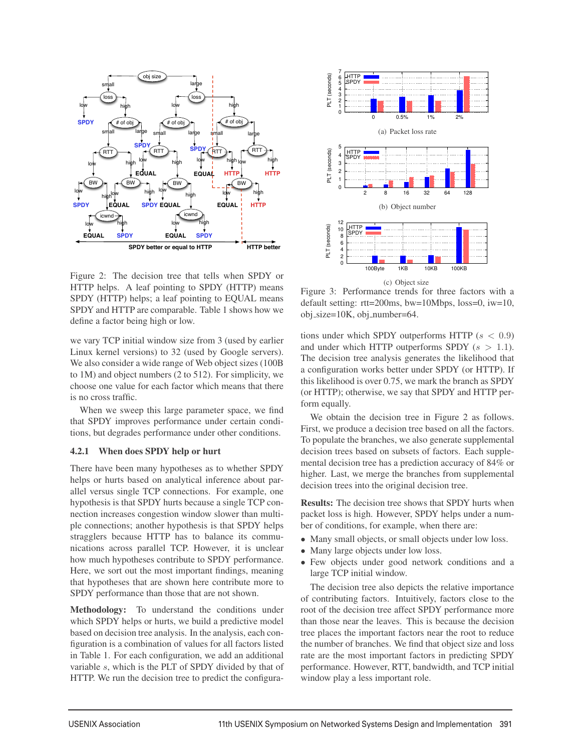

Figure 2: The decision tree that tells when SPDY or HTTP helps. A leaf pointing to SPDY (HTTP) means SPDY (HTTP) helps; a leaf pointing to EQUAL means SPDY and HTTP are comparable. Table 1 shows how we define a factor being high or low.

we vary TCP initial window size from 3 (used by earlier Linux kernel versions) to 32 (used by Google servers). We also consider a wide range of Web object sizes (100B to 1M) and object numbers (2 to 512). For simplicity, we choose one value for each factor which means that there is no cross traffic.

When we sweep this large parameter space, we find that SPDY improves performance under certain conditions, but degrades performance under other conditions.

#### 4.2.1 When does SPDY help or hurt

There have been many hypotheses as to whether SPDY helps or hurts based on analytical inference about parallel versus single TCP connections. For example, one hypothesis is that SPDY hurts because a single TCP connection increases congestion window slower than multiple connections; another hypothesis is that SPDY helps stragglers because HTTP has to balance its communications across parallel TCP. However, it is unclear how much hypotheses contribute to SPDY performance. Here, we sort out the most important findings, meaning that hypotheses that are shown here contribute more to SPDY performance than those that are not shown.

Methodology: To understand the conditions under which SPDY helps or hurts, we build a predictive model based on decision tree analysis. In the analysis, each configuration is a combination of values for all factors listed in Table 1. For each configuration, we add an additional variable s, which is the PLT of SPDY divided by that of HTTP. We run the decision tree to predict the configura-



Figure 3: Performance trends for three factors with a default setting: rtt=200ms, bw=10Mbps, loss=0, iw=10,  $obj\_size=10K$ ,  $obj\_number=64$ .

tions under which SPDY outperforms HTTP  $(s < 0.9)$ and under which HTTP outperforms SPDY  $(s > 1.1)$ . The decision tree analysis generates the likelihood that a configuration works better under SPDY (or HTTP). If this likelihood is over 0.75, we mark the branch as SPDY (or HTTP); otherwise, we say that SPDY and HTTP perform equally.

We obtain the decision tree in Figure 2 as follows. First, we produce a decision tree based on all the factors. To populate the branches, we also generate supplemental decision trees based on subsets of factors. Each supplemental decision tree has a prediction accuracy of 84% or higher. Last, we merge the branches from supplemental decision trees into the original decision tree.

Results: The decision tree shows that SPDY hurts when packet loss is high. However, SPDY helps under a number of conditions, for example, when there are:

- Many small objects, or small objects under low loss.
- Many large objects under low loss.
- Few objects under good network conditions and a large TCP initial window.

The decision tree also depicts the relative importance of contributing factors. Intuitively, factors close to the root of the decision tree affect SPDY performance more than those near the leaves. This is because the decision tree places the important factors near the root to reduce the number of branches. We find that object size and loss rate are the most important factors in predicting SPDY performance. However, RTT, bandwidth, and TCP initial window play a less important role.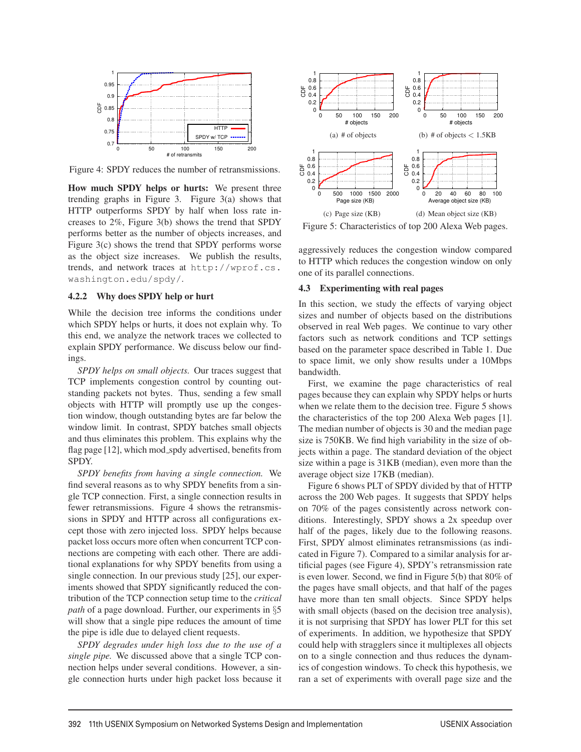

Figure 4: SPDY reduces the number of retransmissions.

How much SPDY helps or hurts: We present three trending graphs in Figure 3. Figure 3(a) shows that HTTP outperforms SPDY by half when loss rate increases to 2%, Figure 3(b) shows the trend that SPDY performs better as the number of objects increases, and Figure 3(c) shows the trend that SPDY performs worse as the object size increases. We publish the results, trends, and network traces at http://wprof.cs. washington.edu/spdy/.

#### 4.2.2 Why does SPDY help or hurt

While the decision tree informs the conditions under which SPDY helps or hurts, it does not explain why. To this end, we analyze the network traces we collected to explain SPDY performance. We discuss below our findings.

*SPDY helps on small objects.* Our traces suggest that TCP implements congestion control by counting outstanding packets not bytes. Thus, sending a few small objects with HTTP will promptly use up the congestion window, though outstanding bytes are far below the window limit. In contrast, SPDY batches small objects and thus eliminates this problem. This explains why the flag page [12], which mod\_spdy advertised, benefits from SPDY.

*SPDY benefits from having a single connection.* We find several reasons as to why SPDY benefits from a single TCP connection. First, a single connection results in fewer retransmissions. Figure 4 shows the retransmissions in SPDY and HTTP across all configurations except those with zero injected loss. SPDY helps because packet loss occurs more often when concurrent TCP connections are competing with each other. There are additional explanations for why SPDY benefits from using a single connection. In our previous study [25], our experiments showed that SPDY significantly reduced the contribution of the TCP connection setup time to the *critical path* of a page download. Further, our experiments in §5 will show that a single pipe reduces the amount of time the pipe is idle due to delayed client requests.

*SPDY degrades under high loss due to the use of a single pipe.* We discussed above that a single TCP connection helps under several conditions. However, a single connection hurts under high packet loss because it



Figure 5: Characteristics of top 200 Alexa Web pages.

aggressively reduces the congestion window compared to HTTP which reduces the congestion window on only one of its parallel connections.

#### 4.3 Experimenting with real pages

In this section, we study the effects of varying object sizes and number of objects based on the distributions observed in real Web pages. We continue to vary other factors such as network conditions and TCP settings based on the parameter space described in Table 1. Due to space limit, we only show results under a 10Mbps bandwidth.

First, we examine the page characteristics of real pages because they can explain why SPDY helps or hurts when we relate them to the decision tree. Figure 5 shows the characteristics of the top 200 Alexa Web pages [1]. The median number of objects is 30 and the median page size is 750KB. We find high variability in the size of objects within a page. The standard deviation of the object size within a page is 31KB (median), even more than the average object size 17KB (median).

Figure 6 shows PLT of SPDY divided by that of HTTP across the 200 Web pages. It suggests that SPDY helps on 70% of the pages consistently across network conditions. Interestingly, SPDY shows a 2x speedup over half of the pages, likely due to the following reasons. First, SPDY almost eliminates retransmissions (as indicated in Figure 7). Compared to a similar analysis for artificial pages (see Figure 4), SPDY's retransmission rate is even lower. Second, we find in Figure 5(b) that 80% of the pages have small objects, and that half of the pages have more than ten small objects. Since SPDY helps with small objects (based on the decision tree analysis), it is not surprising that SPDY has lower PLT for this set of experiments. In addition, we hypothesize that SPDY could help with stragglers since it multiplexes all objects on to a single connection and thus reduces the dynamics of congestion windows. To check this hypothesis, we ran a set of experiments with overall page size and the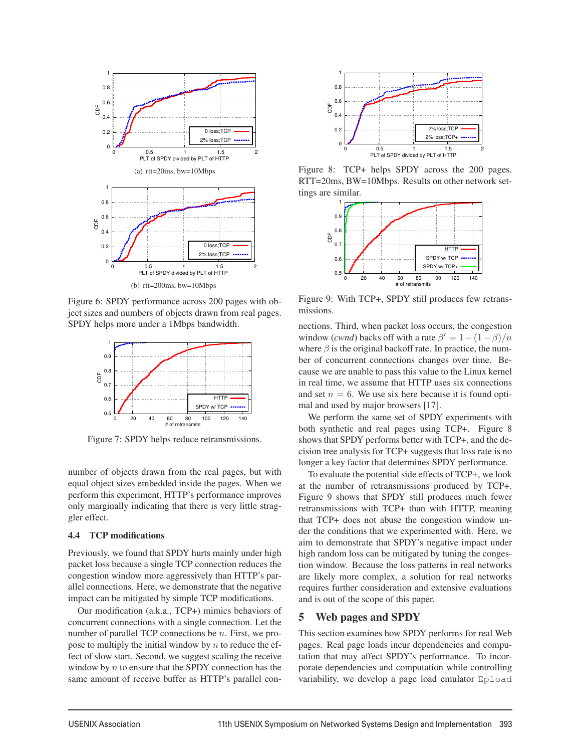

Figure 6: SPDY performance across 200 pages with object sizes and numbers of objects drawn from real pages. SPDY helps more under a 1Mbps bandwidth.



Figure 7: SPDY helps reduce retransmissions.

number of objects drawn from the real pages, but with equal object sizes embedded inside the pages. When we perform this experiment, HTTP's performance improves only marginally indicating that there is very little straggler effect.

#### 4.4 TCP modifications

Previously, we found that SPDY hurts mainly under high packet loss because a single TCP connection reduces the congestion window more aggressively than HTTP's parallel connections. Here, we demonstrate that the negative impact can be mitigated by simple TCP modifications.

Our modification (a.k.a., TCP+) mimics behaviors of concurrent connections with a single connection. Let the number of parallel TCP connections be *n*. First, we propose to multiply the initial window by  $n$  to reduce the effect of slow start. Second, we suggest scaling the receive window by  $n$  to ensure that the SPDY connection has the same amount of receive buffer as HTTP's parallel con-



Figure 8: TCP+ helps SPDY across the 200 pages. RTT=20ms, BW=10Mbps. Results on other network settings are similar.



Figure 9: With TCP+, SPDY still produces few retransmissions.

nections. Third, when packet loss occurs, the congestion window (*cwnd*) backs off with a rate  $\beta' = 1 - (1 - \beta)/n$ where  $\beta$  is the original backoff rate. In practice, the number of concurrent connections changes over time. Because we are unable to pass this value to the Linux kernel in real time, we assume that HTTP uses six connections and set  $n = 6$ . We use six here because it is found optimal and used by major browsers [17].

We perform the same set of SPDY experiments with both synthetic and real pages using TCP+. Figure 8 shows that SPDY performs better with TCP+, and the decision tree analysis for TCP+ suggests that loss rate is no longer a key factor that determines SPDY performance.

To evaluate the potential side effects of TCP+, we look at the number of retransmissions produced by TCP+. Figure 9 shows that SPDY still produces much fewer retransmissions with TCP+ than with HTTP, meaning that TCP+ does not abuse the congestion window under the conditions that we experimented with. Here, we aim to demonstrate that SPDY's negative impact under high random loss can be mitigated by tuning the congestion window. Because the loss patterns in real networks are likely more complex, a solution for real networks requires further consideration and extensive evaluations and is out of the scope of this paper.

## 5 Web pages and SPDY

This section examines how SPDY performs for real Web pages. Real page loads incur dependencies and computation that may affect SPDY's performance. To incorporate dependencies and computation while controlling variability, we develop a page load emulator Epload

<u>.</u>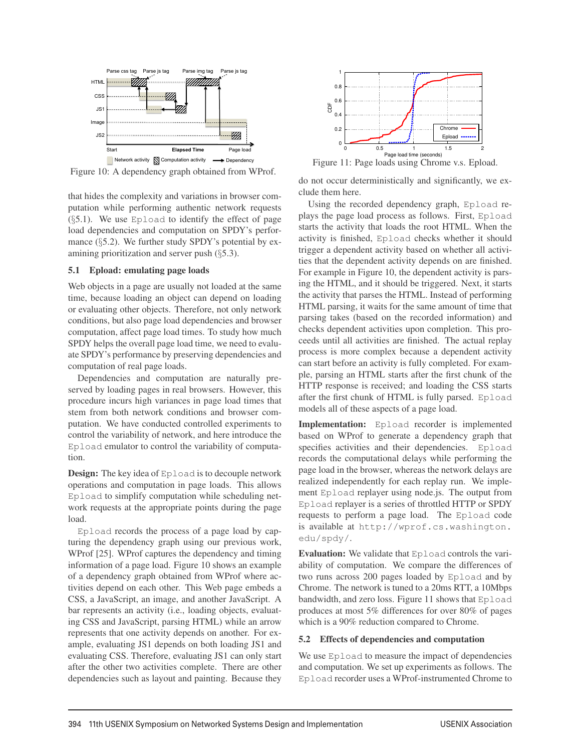

Figure 10: A dependency graph obtained from WProf.

that hides the complexity and variations in browser computation while performing authentic network requests (§5.1). We use Epload to identify the effect of page load dependencies and computation on SPDY's performance  $(\S$ 5.2). We further study SPDY's potential by examining prioritization and server push (§5.3).

#### 5.1 Epload: emulating page loads

Web objects in a page are usually not loaded at the same time, because loading an object can depend on loading or evaluating other objects. Therefore, not only network conditions, but also page load dependencies and browser computation, affect page load times. To study how much SPDY helps the overall page load time, we need to evaluate SPDY's performance by preserving dependencies and computation of real page loads.

Dependencies and computation are naturally preserved by loading pages in real browsers. However, this procedure incurs high variances in page load times that stem from both network conditions and browser computation. We have conducted controlled experiments to control the variability of network, and here introduce the Epload emulator to control the variability of computation.

**Design:** The key idea of Epload is to decouple network operations and computation in page loads. This allows Epload to simplify computation while scheduling network requests at the appropriate points during the page load.

Epload records the process of a page load by capturing the dependency graph using our previous work, WProf [25]. WProf captures the dependency and timing information of a page load. Figure 10 shows an example of a dependency graph obtained from WProf where activities depend on each other. This Web page embeds a CSS, a JavaScript, an image, and another JavaScript. A bar represents an activity (i.e., loading objects, evaluating CSS and JavaScript, parsing HTML) while an arrow represents that one activity depends on another. For example, evaluating JS1 depends on both loading JS1 and evaluating CSS. Therefore, evaluating JS1 can only start after the other two activities complete. There are other dependencies such as layout and painting. Because they



Figure 11: Page loads using Chrome v.s. Epload.

do not occur deterministically and significantly, we exclude them here.

Using the recorded dependency graph, Epload replays the page load process as follows. First, Epload starts the activity that loads the root HTML. When the activity is finished, Epload checks whether it should trigger a dependent activity based on whether all activities that the dependent activity depends on are finished. For example in Figure 10, the dependent activity is parsing the HTML, and it should be triggered. Next, it starts the activity that parses the HTML. Instead of performing HTML parsing, it waits for the same amount of time that parsing takes (based on the recorded information) and checks dependent activities upon completion. This proceeds until all activities are finished. The actual replay process is more complex because a dependent activity can start before an activity is fully completed. For example, parsing an HTML starts after the first chunk of the HTTP response is received; and loading the CSS starts after the first chunk of HTML is fully parsed. Epload models all of these aspects of a page load.

Implementation: Epload recorder is implemented based on WProf to generate a dependency graph that specifies activities and their dependencies. Epload records the computational delays while performing the page load in the browser, whereas the network delays are realized independently for each replay run. We implement Epload replayer using node.js. The output from Epload replayer is a series of throttled HTTP or SPDY requests to perform a page load. The Epload code is available at http://wprof.cs.washington. edu/spdy/.

Evaluation: We validate that Epload controls the variability of computation. We compare the differences of two runs across 200 pages loaded by Epload and by Chrome. The network is tuned to a 20ms RTT, a 10Mbps bandwidth, and zero loss. Figure 11 shows that Epload produces at most 5% differences for over 80% of pages which is a 90% reduction compared to Chrome.

#### 5.2 Effects of dependencies and computation

We use Epload to measure the impact of dependencies and computation. We set up experiments as follows. The Epload recorder uses a WProf-instrumented Chrome to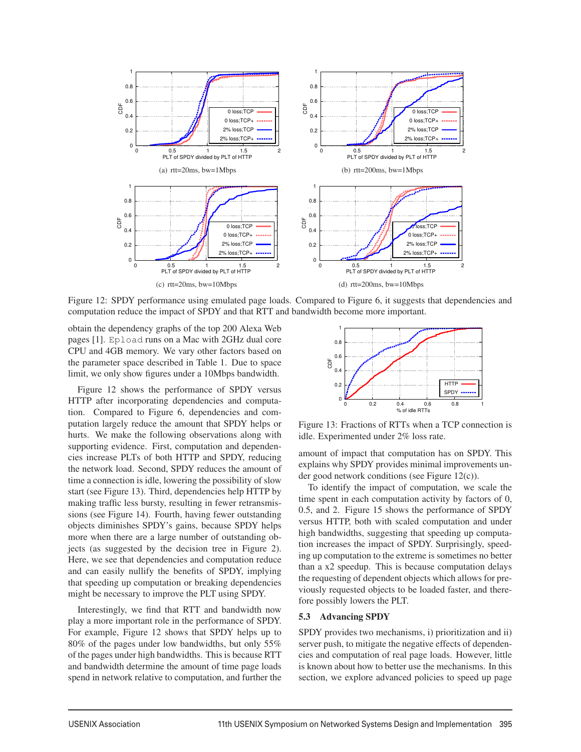

Figure 12: SPDY performance using emulated page loads. Compared to Figure 6, it suggests that dependencies and computation reduce the impact of SPDY and that RTT and bandwidth become more important.

obtain the dependency graphs of the top 200 Alexa Web pages [1]. Epload runs on a Mac with 2GHz dual core CPU and 4GB memory. We vary other factors based on the parameter space described in Table 1. Due to space limit, we only show figures under a 10Mbps bandwidth.

Figure 12 shows the performance of SPDY versus HTTP after incorporating dependencies and computation. Compared to Figure 6, dependencies and computation largely reduce the amount that SPDY helps or hurts. We make the following observations along with supporting evidence. First, computation and dependencies increase PLTs of both HTTP and SPDY, reducing the network load. Second, SPDY reduces the amount of time a connection is idle, lowering the possibility of slow start (see Figure 13). Third, dependencies help HTTP by making traffic less bursty, resulting in fewer retransmissions (see Figure 14). Fourth, having fewer outstanding objects diminishes SPDY's gains, because SPDY helps more when there are a large number of outstanding objects (as suggested by the decision tree in Figure 2). Here, we see that dependencies and computation reduce and can easily nullify the benefits of SPDY, implying that speeding up computation or breaking dependencies might be necessary to improve the PLT using SPDY.

Interestingly, we find that RTT and bandwidth now play a more important role in the performance of SPDY. For example, Figure 12 shows that SPDY helps up to 80% of the pages under low bandwidths, but only 55% of the pages under high bandwidths. This is because RTT and bandwidth determine the amount of time page loads spend in network relative to computation, and further the



Figure 13: Fractions of RTTs when a TCP connection is idle. Experimented under 2% loss rate.

amount of impact that computation has on SPDY. This explains why SPDY provides minimal improvements under good network conditions (see Figure 12(c)).

To identify the impact of computation, we scale the time spent in each computation activity by factors of 0, 0.5, and 2. Figure 15 shows the performance of SPDY versus HTTP, both with scaled computation and under high bandwidths, suggesting that speeding up computation increases the impact of SPDY. Surprisingly, speeding up computation to the extreme is sometimes no better than a x2 speedup. This is because computation delays the requesting of dependent objects which allows for previously requested objects to be loaded faster, and therefore possibly lowers the PLT.

#### 5.3 Advancing SPDY

9

SPDY provides two mechanisms, i) prioritization and ii) server push, to mitigate the negative effects of dependencies and computation of real page loads. However, little is known about how to better use the mechanisms. In this section, we explore advanced policies to speed up page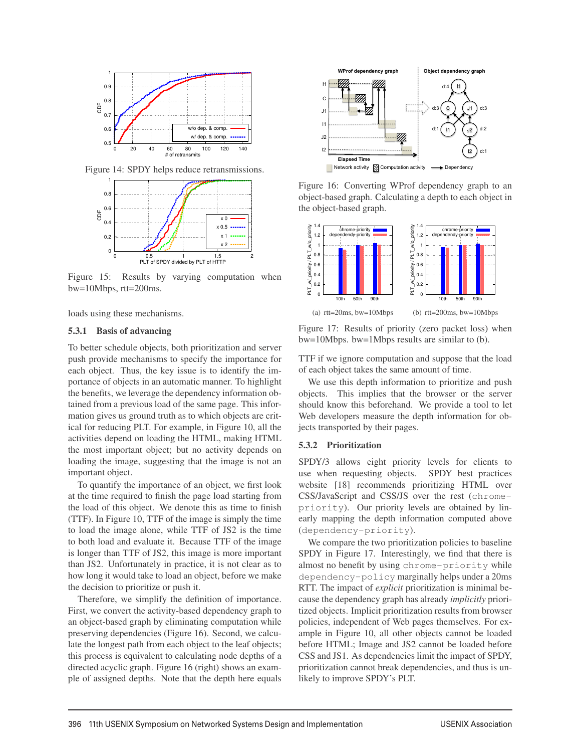

Figure 14: SPDY helps reduce retransmissions.



Figure 15: Results by varying computation when bw=10Mbps, rtt=200ms.

loads using these mechanisms.

#### 5.3.1 Basis of advancing

To better schedule objects, both prioritization and server push provide mechanisms to specify the importance for each object. Thus, the key issue is to identify the importance of objects in an automatic manner. To highlight the benefits, we leverage the dependency information obtained from a previous load of the same page. This information gives us ground truth as to which objects are critical for reducing PLT. For example, in Figure 10, all the activities depend on loading the HTML, making HTML the most important object; but no activity depends on loading the image, suggesting that the image is not an important object.

To quantify the importance of an object, we first look at the time required to finish the page load starting from the load of this object. We denote this as time to finish (TTF). In Figure 10, TTF of the image is simply the time to load the image alone, while TTF of JS2 is the time to both load and evaluate it. Because TTF of the image is longer than TTF of JS2, this image is more important than JS2. Unfortunately in practice, it is not clear as to how long it would take to load an object, before we make the decision to prioritize or push it.

Therefore, we simplify the definition of importance. First, we convert the activity-based dependency graph to an object-based graph by eliminating computation while preserving dependencies (Figure 16). Second, we calculate the longest path from each object to the leaf objects; this process is equivalent to calculating node depths of a directed acyclic graph. Figure 16 (right) shows an example of assigned depths. Note that the depth here equals



Figure 16: Converting WProf dependency graph to an object-based graph. Calculating a depth to each object in the object-based graph.



Figure 17: Results of priority (zero packet loss) when bw=10Mbps. bw=1Mbps results are similar to (b).

TTF if we ignore computation and suppose that the load of each object takes the same amount of time.

We use this depth information to prioritize and push objects. This implies that the browser or the server should know this beforehand. We provide a tool to let Web developers measure the depth information for objects transported by their pages.

#### 5.3.2 Prioritization

SPDY/3 allows eight priority levels for clients to use when requesting objects. SPDY best practices website [18] recommends prioritizing HTML over CSS/JavaScript and CSS/JS over the rest (chromepriority). Our priority levels are obtained by linearly mapping the depth information computed above (dependency-priority).

We compare the two prioritization policies to baseline SPDY in Figure 17. Interestingly, we find that there is almost no benefit by using chrome-priority while dependency-policy marginally helps under a 20ms RTT. The impact of *explicit* prioritization is minimal because the dependency graph has already *implicitly* prioritized objects. Implicit prioritization results from browser policies, independent of Web pages themselves. For example in Figure 10, all other objects cannot be loaded before HTML; Image and JS2 cannot be loaded before CSS and JS1. As dependencies limit the impact of SPDY, prioritization cannot break dependencies, and thus is unlikely to improve SPDY's PLT.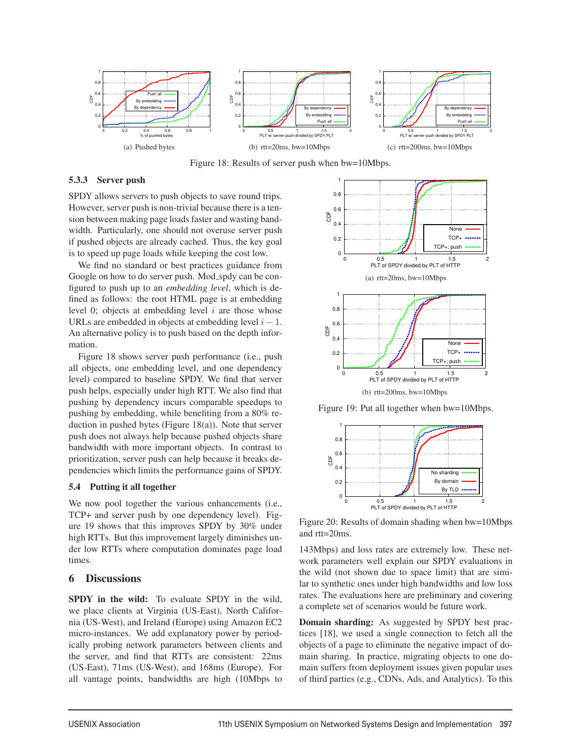

Figure 18: Results of server push when bw=10Mbps.

#### 5.3.3 Server push

SPDY allows servers to push objects to save round trips. However, server push is non-trivial because there is a tension between making page loads faster and wasting bandwidth. Particularly, one should not overuse server push if pushed objects are already cached. Thus, the key goal is to speed up page loads while keeping the cost low.

We find no standard or best practices guidance from Google on how to do server push. Mod\_spdy can be configured to push up to an *embedding level*, which is defined as follows: the root HTML page is at embedding level 0; objects at embedding level  $i$  are those whose URLs are embedded in objects at embedding level  $i - 1$ . An alternative policy is to push based on the depth information.

Figure 18 shows server push performance (i.e., push all objects, one embedding level, and one dependency level) compared to baseline SPDY. We find that server push helps, especially under high RTT. We also find that pushing by dependency incurs comparable speedups to pushing by embedding, while benefiting from a 80% reduction in pushed bytes (Figure 18(a)). Note that server push does not always help because pushed objects share bandwidth with more important objects. In contrast to prioritization, server push can help because it breaks dependencies which limits the performance gains of SPDY.

#### 5.4 Putting it all together

We now pool together the various enhancements *(i.e.,* TCP+ and server push by one dependency level). Figure 19 shows that this improves SPDY by 30% under high RTTs. But this improvement largely diminishes under low RTTs where computation dominates page load times.

#### 6 Discussions

SPDY in the wild: To evaluate SPDY in the wild, we place clients at Virginia (US-East), North California (US-West), and Ireland (Europe) using Amazon EC2 micro-instances. We add explanatory power by periodically probing network parameters between clients and the server, and find that RTTs are consistent: 22ms (US-East), 71ms (US-West), and 168ms (Europe). For all vantage points, bandwidths are high (10Mbps to



Figure 19: Put all together when bw=10Mbps.



Figure 20: Results of domain shading when bw=10Mbps and rtt=20ms.

143Mbps) and loss rates are extremely low. These network parameters well explain our SPDY evaluations in the wild (not shown due to space limit) that are similar to synthetic ones under high bandwidths and low loss rates. The evaluations here are preliminary and covering a complete set of scenarios would be future work.

Domain sharding: As suggested by SPDY best practices [18], we used a single connection to fetch all the objects of a page to eliminate the negative impact of domain sharing. In practice, migrating objects to one domain suffers from deployment issues given popular uses of third parties (e.g., CDNs, Ads, and Analytics). To this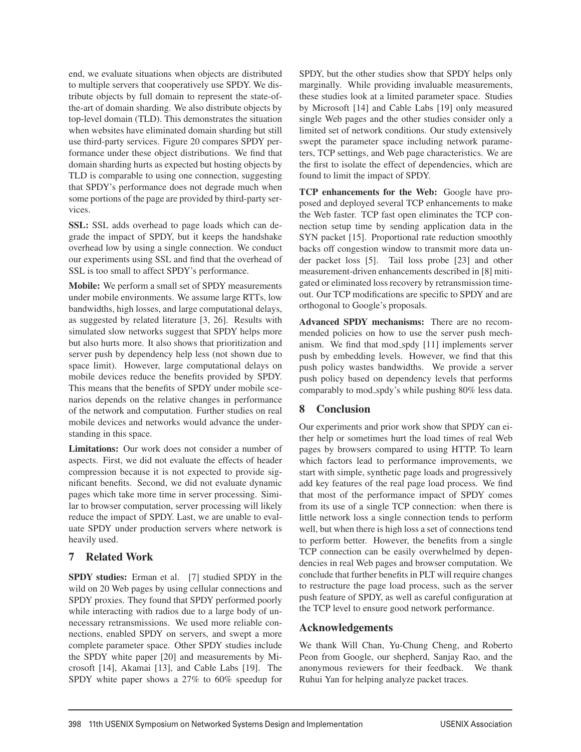end, we evaluate situations when objects are distributed to multiple servers that cooperatively use SPDY. We distribute objects by full domain to represent the state-ofthe-art of domain sharding. We also distribute objects by top-level domain (TLD). This demonstrates the situation when websites have eliminated domain sharding but still use third-party services. Figure 20 compares SPDY performance under these object distributions. We find that domain sharding hurts as expected but hosting objects by TLD is comparable to using one connection, suggesting that SPDY's performance does not degrade much when some portions of the page are provided by third-party services.

SSL: SSL adds overhead to page loads which can degrade the impact of SPDY, but it keeps the handshake overhead low by using a single connection. We conduct our experiments using SSL and find that the overhead of SSL is too small to affect SPDY's performance.

Mobile: We perform a small set of SPDY measurements under mobile environments. We assume large RTTs, low bandwidths, high losses, and large computational delays, as suggested by related literature [3, 26]. Results with simulated slow networks suggest that SPDY helps more but also hurts more. It also shows that prioritization and server push by dependency help less (not shown due to space limit). However, large computational delays on mobile devices reduce the benefits provided by SPDY. This means that the benefits of SPDY under mobile scenarios depends on the relative changes in performance of the network and computation. Further studies on real mobile devices and networks would advance the understanding in this space.

Limitations: Our work does not consider a number of aspects. First, we did not evaluate the effects of header compression because it is not expected to provide significant benefits. Second, we did not evaluate dynamic pages which take more time in server processing. Similar to browser computation, server processing will likely reduce the impact of SPDY. Last, we are unable to evaluate SPDY under production servers where network is heavily used.

## 7 Related Work

SPDY studies: Erman et al. [7] studied SPDY in the wild on 20 Web pages by using cellular connections and SPDY proxies. They found that SPDY performed poorly while interacting with radios due to a large body of unnecessary retransmissions. We used more reliable connections, enabled SPDY on servers, and swept a more complete parameter space. Other SPDY studies include the SPDY white paper [20] and measurements by Microsoft [14], Akamai [13], and Cable Labs [19]. The SPDY white paper shows a 27% to 60% speedup for SPDY, but the other studies show that SPDY helps only marginally. While providing invaluable measurements, these studies look at a limited parameter space. Studies by Microsoft [14] and Cable Labs [19] only measured single Web pages and the other studies consider only a limited set of network conditions. Our study extensively swept the parameter space including network parameters, TCP settings, and Web page characteristics. We are the first to isolate the effect of dependencies, which are found to limit the impact of SPDY.

TCP enhancements for the Web: Google have proposed and deployed several TCP enhancements to make the Web faster. TCP fast open eliminates the TCP connection setup time by sending application data in the SYN packet [15]. Proportional rate reduction smoothly backs off congestion window to transmit more data under packet loss [5]. Tail loss probe [23] and other measurement-driven enhancements described in [8] mitigated or eliminated loss recovery by retransmission timeout. Our TCP modifications are specific to SPDY and are orthogonal to Google's proposals.

Advanced SPDY mechanisms: There are no recommended policies on how to use the server push mechanism. We find that mod spdy [11] implements server push by embedding levels. However, we find that this push policy wastes bandwidths. We provide a server push policy based on dependency levels that performs comparably to mod spdy's while pushing 80% less data.

## 8 Conclusion

Our experiments and prior work show that SPDY can either help or sometimes hurt the load times of real Web pages by browsers compared to using HTTP. To learn which factors lead to performance improvements, we start with simple, synthetic page loads and progressively add key features of the real page load process. We find that most of the performance impact of SPDY comes from its use of a single TCP connection: when there is little network loss a single connection tends to perform well, but when there is high loss a set of connections tend to perform better. However, the benefits from a single TCP connection can be easily overwhelmed by dependencies in real Web pages and browser computation. We conclude that further benefits in PLT will require changes to restructure the page load process, such as the server push feature of SPDY, as well as careful configuration at the TCP level to ensure good network performance.

## Acknowledgements

12

We thank Will Chan, Yu-Chung Cheng, and Roberto Peon from Google, our shepherd, Sanjay Rao, and the anonymous reviewers for their feedback. We thank Ruhui Yan for helping analyze packet traces.